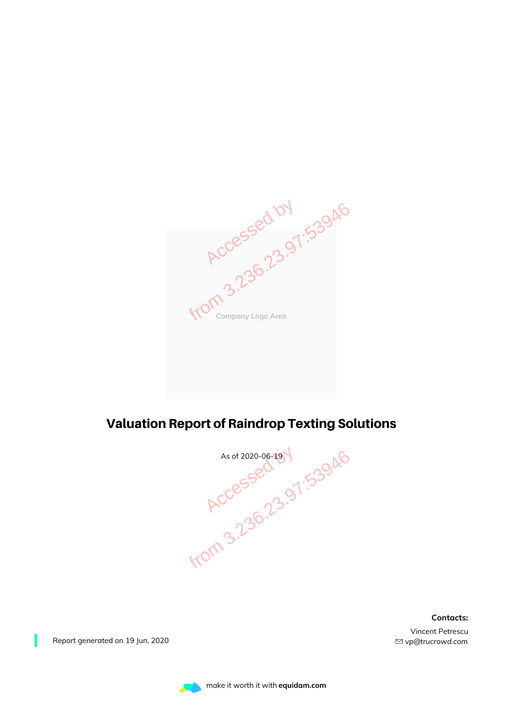Company Logo Area **Accessed by 1.53946**<br>Accessed by 1.53946

### Valuation Report of Raindrop Texting Solutions



**Contacts:**

Vincent Petrescu *vp@trucrowd.com*

Report generated on 19 Jun, 2020

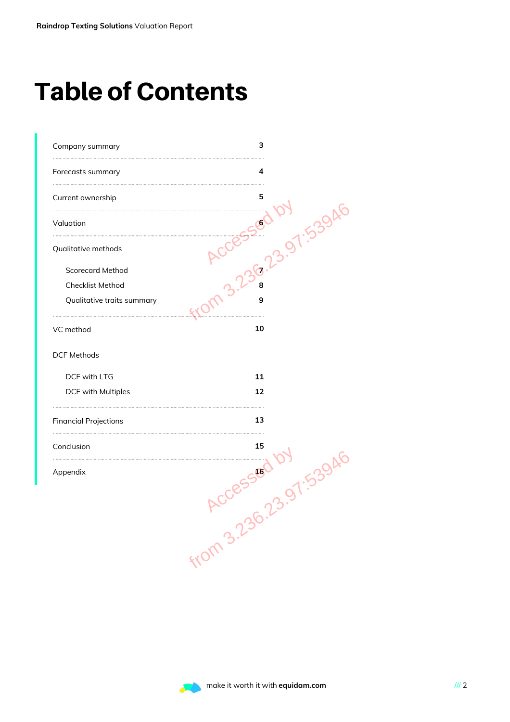# Table of Contents

| Company summary              | з               |
|------------------------------|-----------------|
| Forecasts summary            | 4               |
| Current ownership            | 5               |
| Valuation                    | 7.539A          |
| Qualitative methods          | $\mathcal{S}^*$ |
| <b>Scorecard Method</b>      |                 |
| Checklist Method             |                 |
| Qualitative traits summary   | 9               |
| VC method                    | 10              |
| <b>DCF Methods</b>           |                 |
| DCF with LTG                 | 11              |
| DCF with Multiples           | 12              |
| <b>Financial Projections</b> | 13              |
| Conclusion                   | 15              |
| Appendix                     | 16              |
|                              | <b>1.5394</b>   |
|                              | from 3.23E      |
|                              |                 |
|                              |                 |
|                              |                 |
|                              |                 |

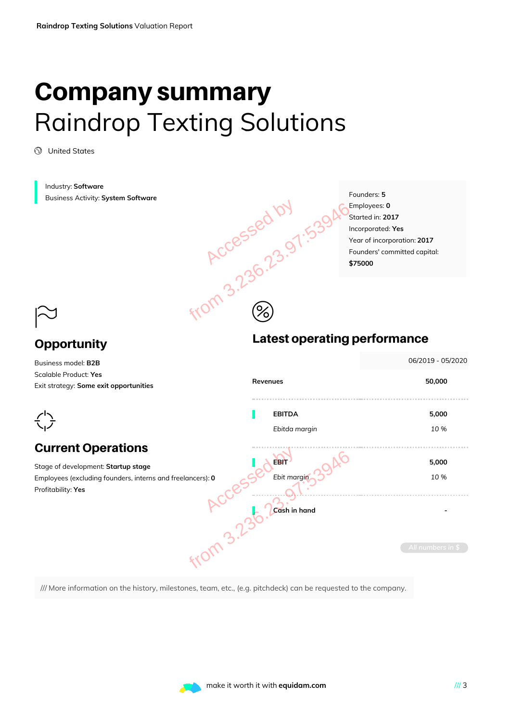# Company summary Raindrop Texting Solutions

United States

Industry: **Software** Founders: **5** Business Activity: **System Software Accessed by 1.53946** Employees: **0** Started in: **2017** Incorporated: **Yes** Year of incorporation: **2017** Founders' committed capital: **\$75000**  $\circledS$  $\approx$ Latest operating performance **Opportunity** 06/2019 - 05/2020 Business model: **B2B** Scalable Product: **Yes Revenues 50,000** Exit strategy: **Some exit opportunities EBITDA 5,000**  $\frac{1}{2}$ *Ebitda margin 10 %* Current Operations . . . . . . . . . . . . . . . . . . . . and freelancers): 0<br>
ACCESSED Ebit margins 3946<br>
ACCES Ebit margins 3946<br>
MCCES Ebit margins 3946<br>
MCCES Ebit margins 3946<br>
MCCES Ebit margins 3946 **EBIT 5,000** Stage of development: **Startup stage** Employees (excluding founders, interns and freelancers): **0** *Ebit margin* **2009 10 %** Profitability: **Yes Cash in hand -**

/// More information on the history, milestones, team, etc., (e.g. pitchdeck) can be requested to the company.

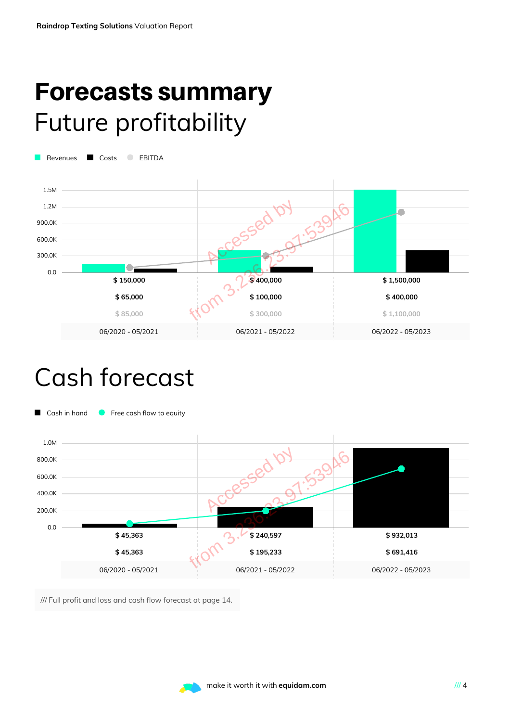### Forecasts summary Future profitability

Revenues **C** Costs **C** EBITDA



### Cash forecast



/// Full profit and loss and cash flow forecast at page 14.

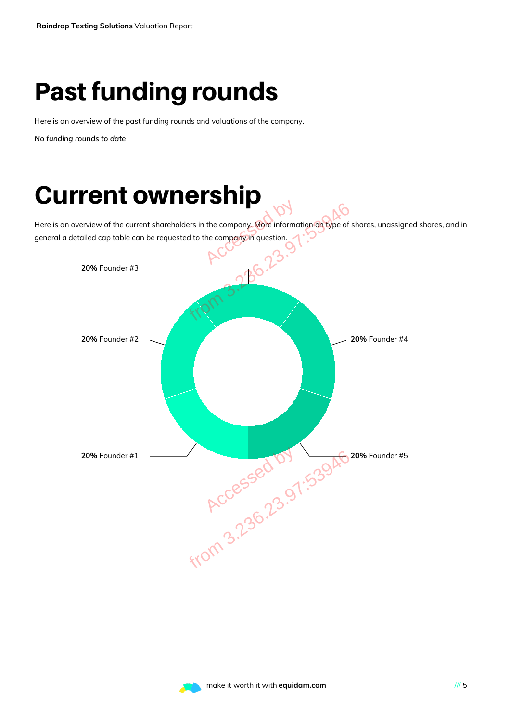# Past funding rounds

Here is an overview of the past funding rounds and valuations of the company.

*No funding rounds to date*

# Current ownership

Here is an overview of the current shareholders in the company. More information on type of shares, unassigned shares, and in general a detailed cap table can be requested to the company in question.



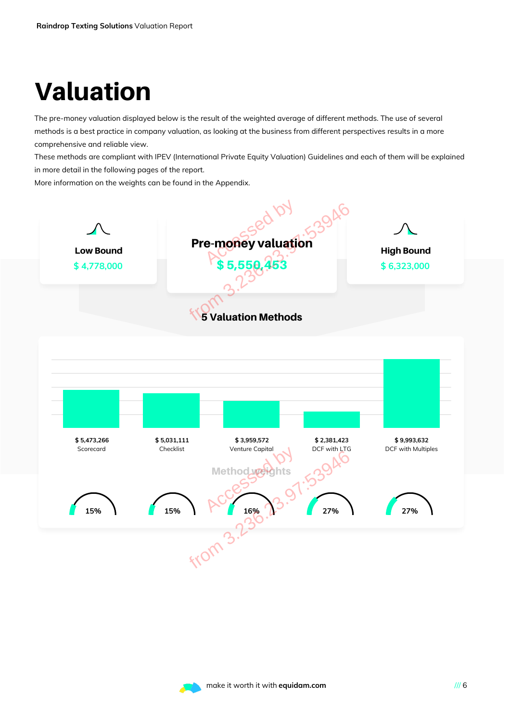# Valuation

The pre-money valuation displayed below is the result of the weighted average of different methods. The use of several methods is a best practice in company valuation, as looking at the business from different perspectives results in a more comprehensive and reliable view.

These methods are compliant with IPEV (International Private Equity Valuation) Guidelines and each of them will be explained in more detail in the following pages of the report.

More information on the weights can be found in the Appendix.



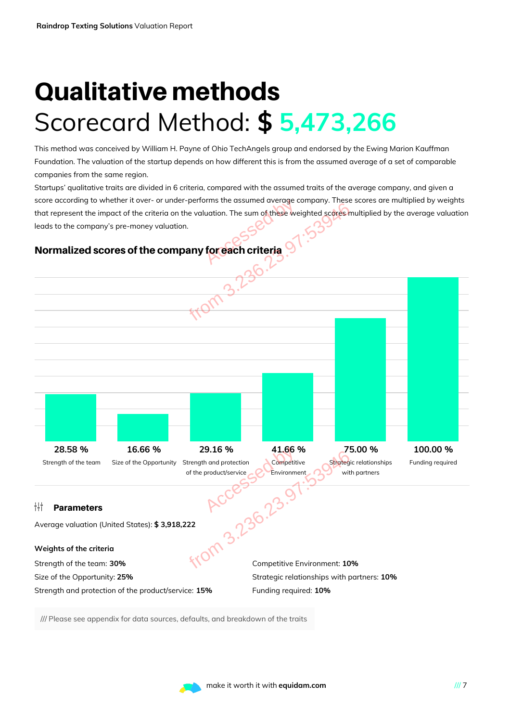# Qualitative methods Scorecard Method: **\$ 5,473,266**

This method was conceived by William H. Payne of Ohio TechAngels group and endorsed by the Ewing Marion Kauffman Foundation. The valuation of the startup depends on how different this is from the assumed average of a set of comparable companies from the same region.

Startups' qualitative traits are divided in 6 criteria, compared with the assumed traits of the average company, and given a score according to whether it over- or under-performs the assumed average company. These scores are multiplied by weights that represent the impact of the criteria on the valuation. The sum o<mark>f thes</mark>e weighted scores multiplied by the average valuation leads to the company's pre-money valuation. by the same of these were controlled by the same of these were controlled by the same of the series of the same of the series of the series of the series of the series of the series of the series of the series of the serie

### Normalized scores of the company for each criteria



/// Please see appendix for data sources, defaults, and breakdown of the traits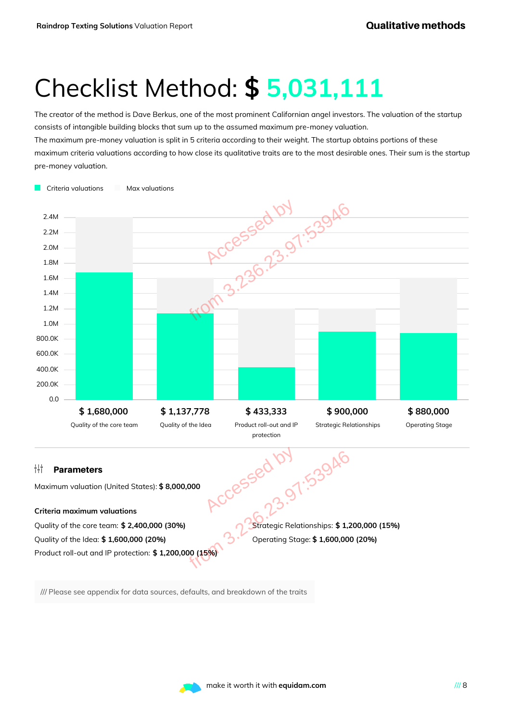# Checklist Method: **\$ 5,031,111**

The creator of the method is Dave Berkus, one of the most prominent Californian angel investors. The valuation of the startup consists of intangible building blocks that sum up to the assumed maximum pre-money valuation. The maximum pre-money valuation is split in 5 criteria according to their weight. The startup obtains portions of these

maximum criteria valuations according to how close its qualitative traits are to the most desirable ones. Their sum is the startup pre-money valuation.



/// Please see appendix for data sources, defaults, and breakdown of the traits

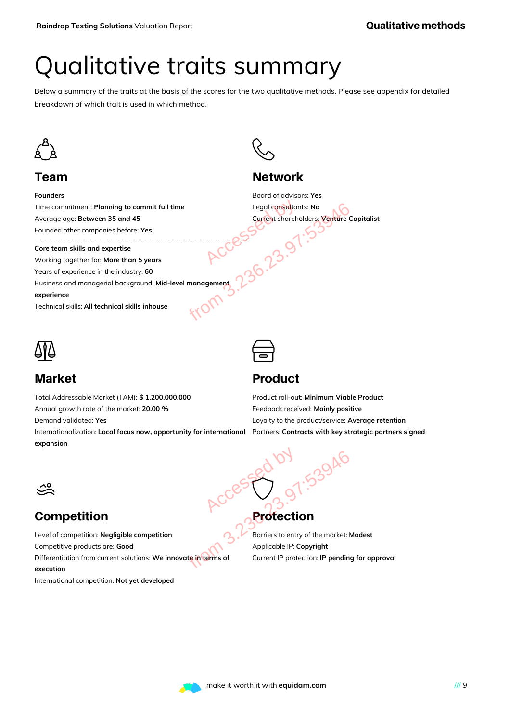# Qualitative traits summary

Below a summary of the traits at the basis of the scores for the two qualitative methods. Please see appendix for detailed breakdown of which trait is used in which method.



### Team

**Founders**

Time commitment: **Planning to commit full time** Average age: **Between 35 and 45** Founded other companies before: **Yes**

**Core team skills and expertise** Working together for: **More than 5 years** Years of experience in the industry: **60** Business and managerial background: **Mid-level management experience** Technical skills:**All technical skills inhouse** Full time<br>
Legal consultants: No<br>
Current shareholders: Venture C<br>
Santa Current shareholders: Venture C<br>
Santa Current shareholders: Venture C<br>
Santa Current shareholders: Venture C<br>
Santa Current shareholders: Venture C<br>



### **Network**

Board of advisors: **Yes** Legal consultants: **No** Current shareholders: **Venture Capitalist**



### Market

Total Addressable Market (TAM): **\$ 1,200,000,000** Annual growth rate of the market: **20.00 %**

Demand validated: **Yes**

Internationalization: **Local focus now, opportunity for international expansion**

### Product

 $\bigoplus$ 

Product roll-out: **Minimum Viable Product** Feedback received: **Mainly positive** Loyalty to the product/service: **Average retention** Partners: **Contracts with key strategic partners signed**

### $\frac{1}{\sqrt{20}}$

### **Competition**

Level of competition: **Negligible competition** Competitive products are: **Good** Differentiation from current solutions: **We innovate in terms of execution**

International competition: **Not yet developed**

# **Protection** Accessed by

 $\bigcirc$ 

Barriers to entry of the market: **Modest** Applicable IP: **Copyright** Current IP protection: **IP pending for approval** Recorded Current IP protection: IP pending<br>
oped<br>
Protection<br> *Protection*<br> *Accorded*<br> *Protection*<br> *Protection*<br> *Protection*<br> *Protection*: IP pending<br>
oped

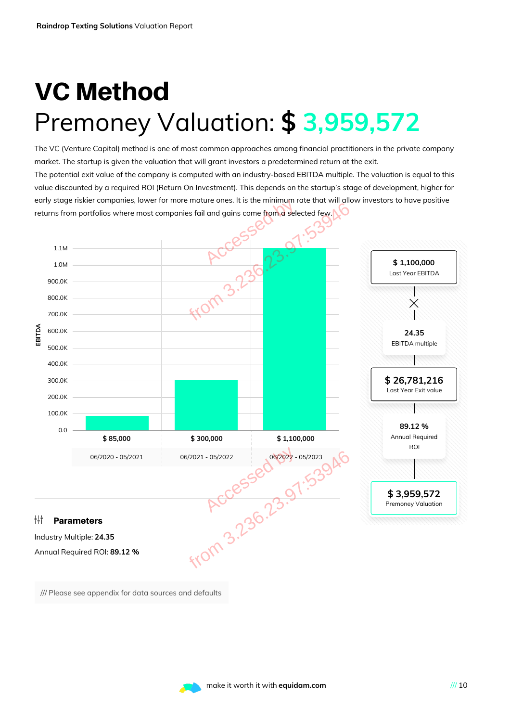# VC Method Premoney Valuation: **\$ 3,959,572**

The VC (Venture Capital) method is one of most common approaches among financial practitioners in the private company market. The startup is given the valuation that will grant investors a predetermined return at the exit. The potential exit value of the company is computed with an industry-based EBITDA multiple. The valuation is equal to this value discounted by a required ROI (Return On Investment). This depends on the startup's stage of development, higher for early stage riskier companies, lower for more mature ones. It is the minimum rate that will allow investors to have positive



/// Please see appendix for data sources and defaults

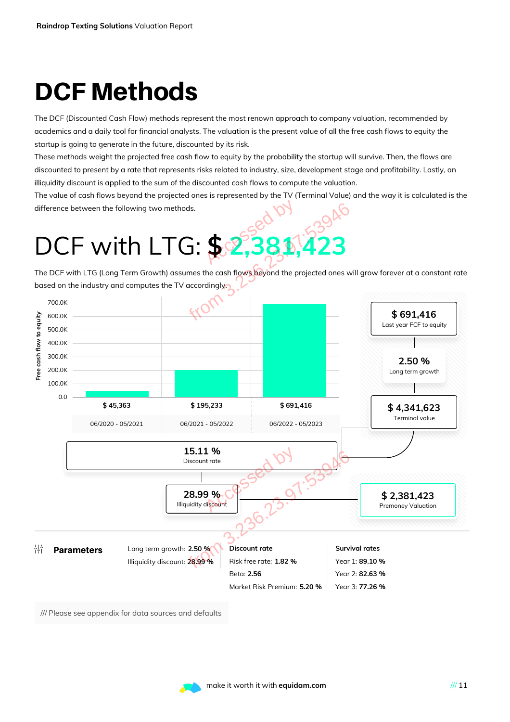# DCF Methods

The DCF (Discounted Cash Flow) methods represent the most renown approach to company valuation, recommended by academics and a daily tool for financial analysts. The valuation is the present value of all the free cash flows to equity the startup is going to generate in the future, discounted by its risk.

These methods weight the projected free cash flow to equity by the probability the startup will survive. Then, the flows are discounted to present by a rate that represents risks related to industry, size, development stage and profitability. Lastly, an illiquidity discount is applied to the sum of the discounted cash flows to compute the valuation.

The value of cash flows beyond the projected ones is represented by the TV (Terminal Value) and the way it is calculated is the difference between the following two methods.

The DCF with LTG (Long Term Growth) assumes the cash flows beyond the projected ones will grow forever at a constant rate based on the industry and computes the TV accordingly.



/// Please see appendix for data sources and defaults

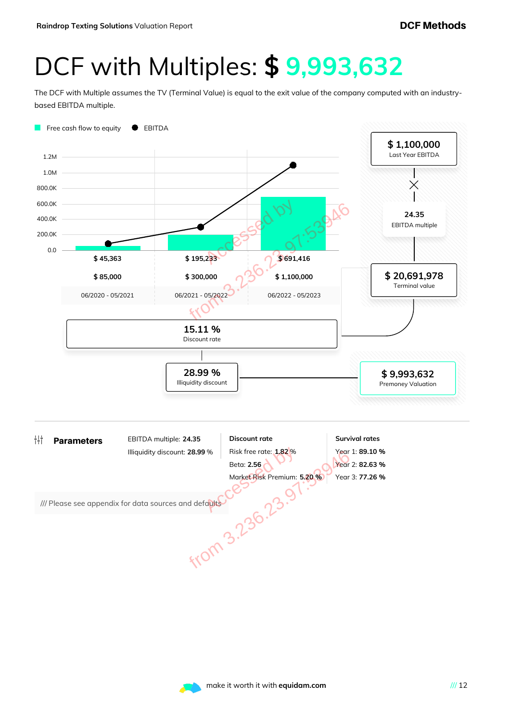### DCF with Multiples: **\$ 9,993,632**

The DCF with Multiple assumes the TV (Terminal Value) is equal to the exit value of the company computed with an industrybased EBITDA multiple.



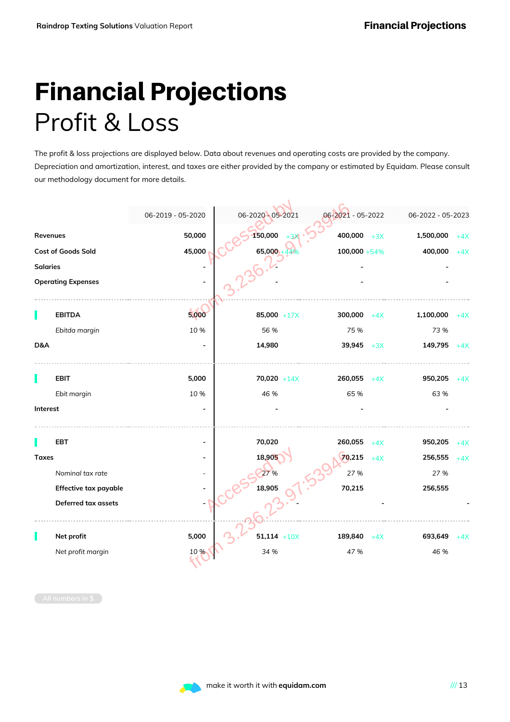# Financial Projections Profit & Loss

The profit & loss projections are displayed below. Data about revenues and operating costs are provided by the company. Depreciation and amortization, interest, and taxes are either provided by the company or estimated by Equidam. Please consult our methodology document for more details.

|                 |                           | 06-2019 - 05-2020 | 06-2020 - 05-2021   | 06-2021 - 05-2022 |       | 06-2022 - 05-2023 |       |
|-----------------|---------------------------|-------------------|---------------------|-------------------|-------|-------------------|-------|
| Revenues        |                           | 50,000            | 150,000             | $400,000$ +3X     |       | 1,500,000         | $+4X$ |
|                 | Cost of Goods Sold        | 45,000            | 65,000              | $100,000 + 54\%$  |       | 400,000           | $+4X$ |
| <b>Salaries</b> |                           |                   |                     |                   |       |                   |       |
|                 | <b>Operating Expenses</b> |                   |                     |                   |       |                   |       |
|                 | <b>EBITDA</b>             | 5,000             | 85,000 +17 $\times$ | 300,000           | $+4X$ | 1,100,000         | $+4X$ |
|                 | Ebitda margin             | 10 %              | 56 %                | 75 %              |       | 73 %              |       |
| D&A             |                           |                   | 14,980              | 39,945 $+3X$      |       | 149,795           | $+4X$ |
|                 | <b>EBIT</b>               | 5,000             | $70,020 + 14X$      | $260,055 + 4X$    |       | 950,205           | $+4X$ |
|                 | Ebit margin               | 10 %              | 46 %                | 65 %              |       | 63 %              |       |
| Interest        |                           |                   |                     |                   |       |                   |       |
|                 | EBT                       |                   | 70,020              | 260,055           | $+4X$ | 950,205           | $+4X$ |
| <b>Taxes</b>    |                           |                   | 18,905              | 70,215            | $+4X$ | 256,555           | $+4X$ |
|                 | Nominal tax rate          |                   | 27 %                | 27 %              |       | 27 %              |       |
|                 | Effective tax payable     |                   | 18,905              | 70,215            |       | 256,555           |       |
|                 | Deferred tax assets       |                   |                     |                   |       |                   |       |
|                 | Net profit                | 5,000             | $51,114$ +10X       | 189,840           | $+4X$ | 693,649           | $+4X$ |
|                 | Net profit margin         | 10 %              | 34 %                | 47 %              |       | 46 %              |       |
|                 |                           |                   |                     |                   |       |                   |       |

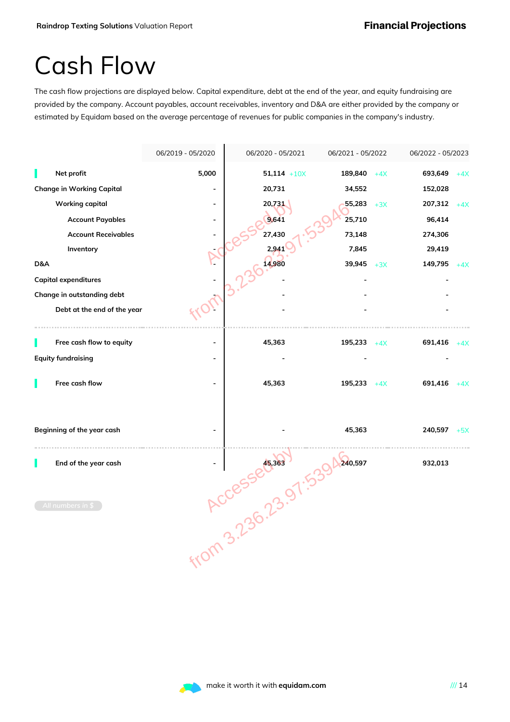### Cash Flow

The cash flow projections are displayed below. Capital expenditure, debt at the end of the year, and equity fundraising are provided by the company. Account payables, account receivables, inventory and D&A are either provided by the company or estimated by Equidam based on the average percentage of revenues for public companies in the company's industry.



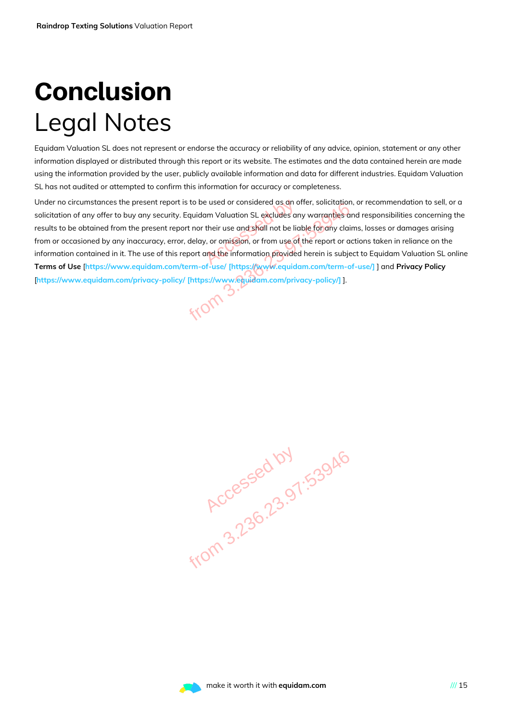# **Conclusion** Legal Notes

Equidam Valuation SL does not represent or endorse the accuracy or reliability of any advice, opinion, statement or any other information displayed or distributed through this report or its website. The estimates and the data contained herein are made using the information provided by the user, publicly available information and data for different industries. Equidam Valuation SL has not audited or attempted to confirm this information for accuracy or completeness.

Under no circumstances the present report is to be used or considered as an offer, solicitation, or recommendation to sell, or a solicitation of any offer to buy any security. Equidam Valuation SL excludes any warranties and responsibilities concerning the results to be obtained from the present report nor their use and shall not be liable for any claims, losses or damages arising from or occasioned by any inaccuracy, error, delay, or omission, or from use of the report or actions taken in reliance on the information contained in it. The use of this report and the information provided herein is subject to Equidam Valuation SL online **Terms of Use** [**https://www.equidam.com/term-of-use/ [https://www.equidam.com/term-of-use/]** ] and **Privacy Policy** [**https://www.equidam.com/privacy-policy/ [https://www.equidam.com/privacy-policy/]** ]. e used or considered as an a<br>am Valuation SL excludes are<br>their use and shall not be lick<br>, or omission, or from use of<br>and the information provided Feport is to be used or considered as an offer, solicitation,<br>ecurity. Equidam Valuation SL excludes any warranties arent report nor their use and shall not be liable for any clair<br>exp., error, delay, or omission, or from

**Accessed by 1.53946**<br>Accessed by 1.53946

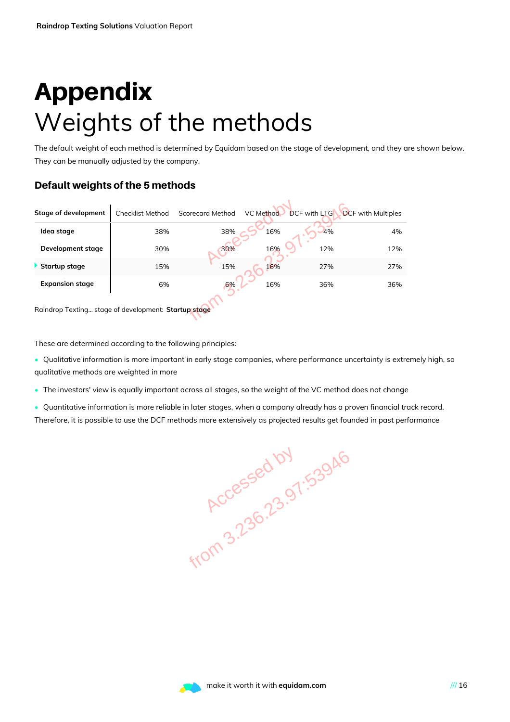# Appendix Weights of the methods

The default weight of each method is determined by Equidam based on the stage of development, and they are shown below. They can be manually adjusted by the company.

#### Default weights of the 5 methods

| <b>Stage of development</b>                                 | <b>Checklist Method</b> | <b>Scorecard Method</b> | VC Method | <b>DCF</b> with LTG | <b>DCF</b> with Multiples |  |
|-------------------------------------------------------------|-------------------------|-------------------------|-----------|---------------------|---------------------------|--|
| Idea stage                                                  | 38%                     | 38%                     | 16%       | 4%                  | 4%                        |  |
| Development stage                                           | 30%                     | 30%                     | 16%       | 12%                 | 12%                       |  |
| Startup stage                                               | 15%                     | 15%                     | 16%       | 27%                 | 27%                       |  |
| <b>Expansion stage</b>                                      | 6%                      | 6%                      | 16%       | 36%                 | 36%                       |  |
| Raindrop Texting stage of development: Startup stage        |                         |                         |           |                     |                           |  |
| These are determined according to the following principles: |                         |                         |           |                     |                           |  |

These are determined according to the following principles:

- Qualitative information is more important in early stage companies, where performance uncertainty is extremely high, so qualitative methods are weighted in more
- The investors' view is equally important across all stages, so the weight of the VC method does not change
- Quantitative information is more reliable in later stages, when a company already has a proven financial track record. Therefore, it is possible to use the DCF methods more extensively as projected results get founded in past performance

**Accessed by 1.53946**<br>Accessed by 1.53946

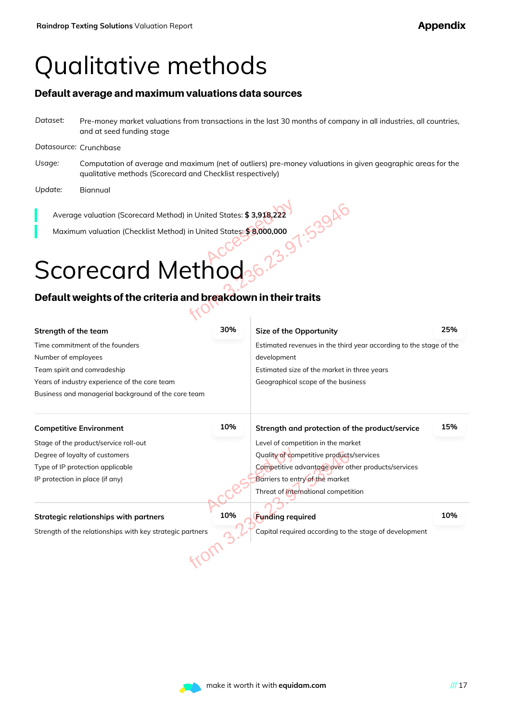### Qualitative methods

#### Default average and maximum valuations data sources

*Dataset:* Pre-money market valuations from transactions in the last 30 months of company in all industries, all countries, and at seed funding stage

#### *Datasource:* Crunchbase

- *Usage:* Computation of average and maximum (net of outliers) pre-money valuations in given geographic areas for the qualitative methods (Scorecard and Checklist respectively)
- *Update:* Biannual

# Scorecard Method

### Default weights of the criteria and breakdown in their traits

| Average valuation (Scorecard Method) in United States: \$3,918,222                                    |     |                                                        |     |  |
|-------------------------------------------------------------------------------------------------------|-----|--------------------------------------------------------|-----|--|
| Maximum valuation (Checklist Method) in United States: \$8,000,000                                    |     |                                                        |     |  |
|                                                                                                       |     |                                                        |     |  |
|                                                                                                       |     |                                                        |     |  |
| Scorecard Method                                                                                      |     |                                                        |     |  |
| Default weights of the criteria and breakdown in their traits                                         |     |                                                        |     |  |
|                                                                                                       |     |                                                        |     |  |
| Strength of the team                                                                                  | 30% | Size of the Opportunity                                | 25% |  |
| Time commitment of the founders<br>Estimated revenues in the third year according to the stage of the |     |                                                        |     |  |
| Number of employees<br>development                                                                    |     |                                                        |     |  |
| Team spirit and comradeship<br>Estimated size of the market in three years                            |     |                                                        |     |  |
| Years of industry experience of the core team<br>Geographical scope of the business                   |     |                                                        |     |  |
| Business and managerial background of the core team                                                   |     |                                                        |     |  |
| <b>Competitive Environment</b>                                                                        | 10% | Strength and protection of the product/service         | 15% |  |
| Stage of the product/service roll-out                                                                 |     | Level of competition in the market                     |     |  |
| Degree of loyalty of customers                                                                        |     | Quality of competitive products/services               |     |  |
| Competitive advantage over other products/services<br>Type of IP protection applicable                |     |                                                        |     |  |
| Barriers to entry of the market<br>IP protection in place (if any)                                    |     |                                                        |     |  |
|                                                                                                       |     | Threat of international competition                    |     |  |
| <b>Strategic relationships with partners</b>                                                          | 10% | <b>Funding required</b>                                | 10% |  |
| Strength of the relationships with key strategic partners                                             |     | Capital required according to the stage of development |     |  |
|                                                                                                       |     |                                                        |     |  |
|                                                                                                       |     |                                                        |     |  |

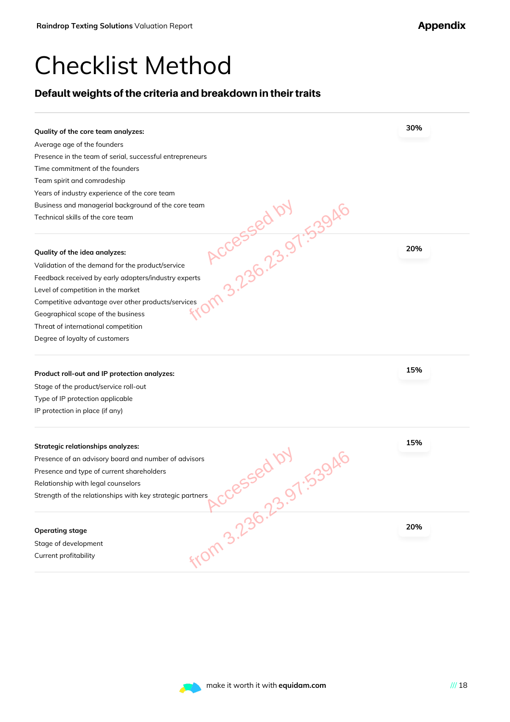### Checklist Method

### Default weights of the criteria and breakdown in their traits

| Average age of the founders<br>Presence in the team of serial, successful entrepreneurs<br>Time commitment of the founders<br>Team spirit and comradeship<br>Years of industry experience of the core team<br>Business and managerial background of the core team<br>Accessed by 53946<br>Technical skills of the core team |     |
|-----------------------------------------------------------------------------------------------------------------------------------------------------------------------------------------------------------------------------------------------------------------------------------------------------------------------------|-----|
|                                                                                                                                                                                                                                                                                                                             |     |
|                                                                                                                                                                                                                                                                                                                             |     |
|                                                                                                                                                                                                                                                                                                                             |     |
|                                                                                                                                                                                                                                                                                                                             |     |
|                                                                                                                                                                                                                                                                                                                             |     |
|                                                                                                                                                                                                                                                                                                                             |     |
|                                                                                                                                                                                                                                                                                                                             |     |
| Quality of the idea analyzes:                                                                                                                                                                                                                                                                                               | 20% |
| Validation of the demand for the product/service                                                                                                                                                                                                                                                                            |     |
| Feedback received by early adopters/industry experts                                                                                                                                                                                                                                                                        |     |
| Level of competition in the market                                                                                                                                                                                                                                                                                          |     |
| Competitive advantage over other products/services                                                                                                                                                                                                                                                                          |     |
| Geographical scope of the business                                                                                                                                                                                                                                                                                          |     |
| Threat of international competition                                                                                                                                                                                                                                                                                         |     |
| Degree of loyalty of customers                                                                                                                                                                                                                                                                                              |     |
| Product roll-out and IP protection analyzes:                                                                                                                                                                                                                                                                                | 15% |
| Stage of the product/service roll-out                                                                                                                                                                                                                                                                                       |     |
| Type of IP protection applicable                                                                                                                                                                                                                                                                                            |     |
| IP protection in place (if any)                                                                                                                                                                                                                                                                                             |     |
| <b>Strategic relationships analyzes:</b>                                                                                                                                                                                                                                                                                    | 15% |
| Presence of an advisory board and number of advisors                                                                                                                                                                                                                                                                        |     |
| Presence and type of current shareholders                                                                                                                                                                                                                                                                                   |     |
| Relationship with legal counselors                                                                                                                                                                                                                                                                                          |     |
| 3085580.107 53946<br>Strength of the relationships with key strategic partners<br>From 3.236.23.                                                                                                                                                                                                                            |     |
|                                                                                                                                                                                                                                                                                                                             |     |
| <b>Operating stage</b>                                                                                                                                                                                                                                                                                                      | 20% |
| Stage of development                                                                                                                                                                                                                                                                                                        |     |
| Current profitability                                                                                                                                                                                                                                                                                                       |     |
|                                                                                                                                                                                                                                                                                                                             |     |

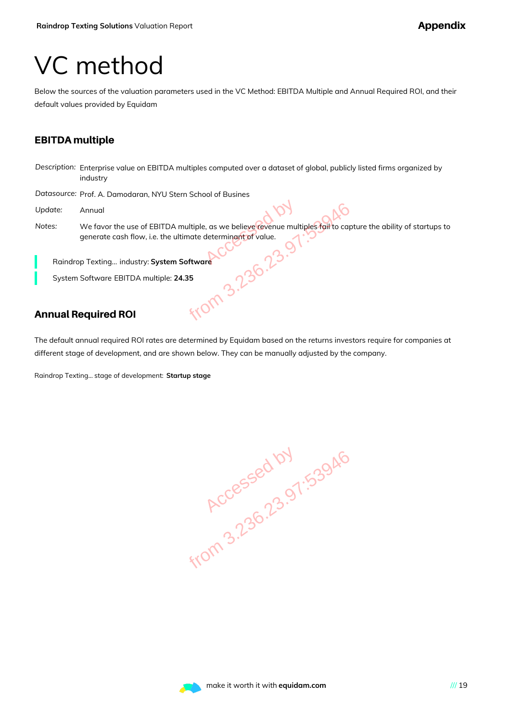### VC method

Below the sources of the valuation parameters used in the VC Method: EBITDA Multiple and Annual Required ROI, and their default values provided by Equidam

#### EBITDA multiple

*Description:* Enterprise value on EBITDA multiples computed over a dataset of global, publicly listed firms organized by industry

*Datasource:* Prof. A. Damodaran, NYU Stern School of Busines

- *Update:* Annual
- *Notes:* We favor the use of EBITDA multiple, as we believe revenue multiples fail to capture the ability of startups to generate cash flow, i.e. the ultimate determinant of value. TDA multiple, as we believe revenue multiples fail to cap<br>the ultimate determinant of value.<br>
Stem Software<br>
PRESENTED TO BELIEVE TO THE STATE OF CALLS<br>
TO THE SOFTWARE<br>
STATES TO THE STATE OF CALLS AND TO THE STATE OF CAL

Raindrop Texting... industry: **System Software**

System Software EBITDA multiple: **24.35**

### Annual Required ROI

The default annual required ROI rates are determined by Equidam based on the returns investors require for companies at different stage of development, and are shown below. They can be manually adjusted by the company.

Raindrop Texting... stage of development: **Startup stage**

**Accessed by 1.53946**<br>Accessed by 1.53946

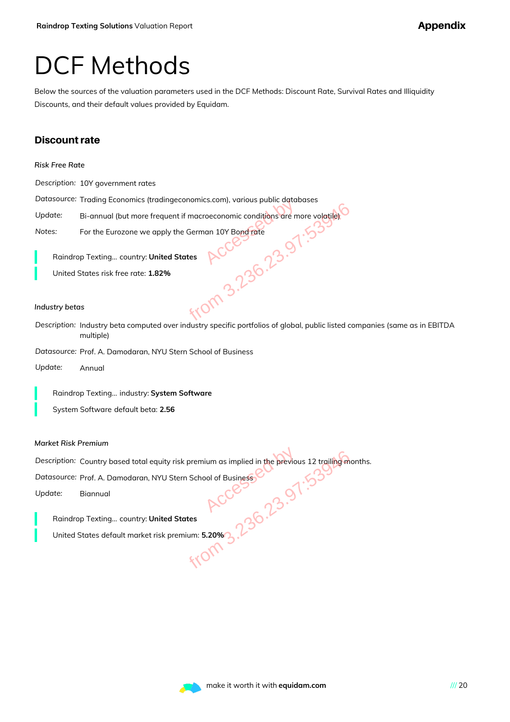### DCF Methods

Below the sources of the valuation parameters used in the DCF Methods: Discount Rate, Survival Rates and Illiquidity Discounts, and their default values provided by Equidam.

#### Discount rate

*Description:* 10Y government rates

*Datasource:* Trading Economics (tradingeconomics.com), various public databases

Update: Bi-annual (but more frequent if macroeconomic conditions are more volatile).

*Notes:* For the Eurozone we apply the German 10Y Bond rate

Raindrop Texting... country: **United States**

United States risk free rate: **1.82%**

#### *Industry betas*

*Description:* Industry beta computed over industry specific portfolios of global, public listed companies (same as in EBITDA multiple) Accessed by from 3.236.23.97:53946

*Datasource:* Prof. A. Damodaran, NYU Stern School of Business

*Update:* Annual

Raindrop Texting... industry: **System Software**

System Software default beta: **2.56**

*Market Risk Premium*

*Description:* Country based total equity risk premium as implied in the previous 12 trailing months. NU Stern School of Business<br>
HOCCES<br>
HOCCES<br>
Sk premium: 5.20% 3.236.23947.23946<br>
HOCCES

*Datasource:* Prof. A. Damodaran, NYU Stern School of Business

*Update:* Biannual

Raindrop Texting... country: **United States**

United States default market risk premium: **5.20%**

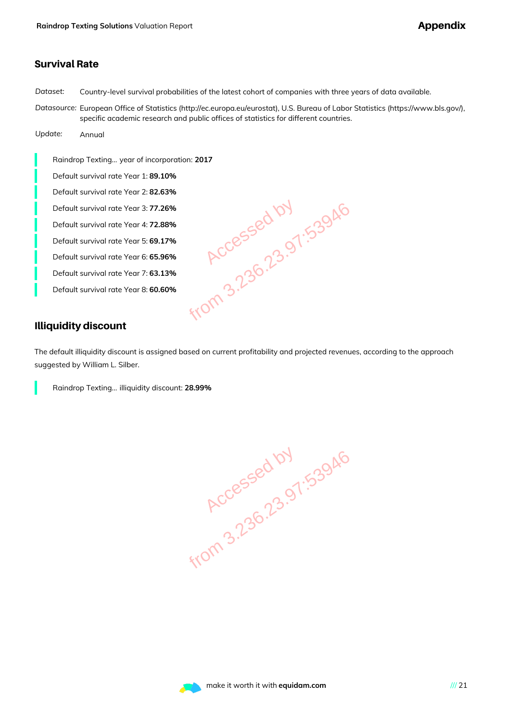#### Survival Rate

*Dataset:* Country-level survival probabilities of the latest cohort of companies with three years of data available.

*Datasource:* European Office of Statistics (http://ec.europa.eu/eurostat), U.S. Bureau of Labor Statistics (https://www.bls.gov/), specific academic research and public offices of statistics for different countries.

*Update:* Annual

Raindrop Texting... year of incorporation: **2017** Default survival rate Year 1: **89.10%** Default survival rate Year 2: **82.63%** Default survival rate Year 3: **77.26%** Default survival rate Year 4: **72.88%** Default survival rate Year 5: **69.17%** Default survival rate Year 6: **65.96%** Default survival rate Year 7: **63.13%** Default survival rate Year 8: **60.60%**

.26%<br>
.38%<br>
.36%<br>
.36%<br>
.38%<br>
.60%<br>
.40M 3.236.23.97:53946<br>
.60%<br>
40M 3.236.23.97:53946

### Illiquidity discount

The default illiquidity discount is assigned based on current profitability and projected revenues, according to the approach suggested by William L. Silber.

Raindrop Texting... illiquidity discount: **28.99%**

**Accessed by 1.53946**<br>Accessed by 1.53946

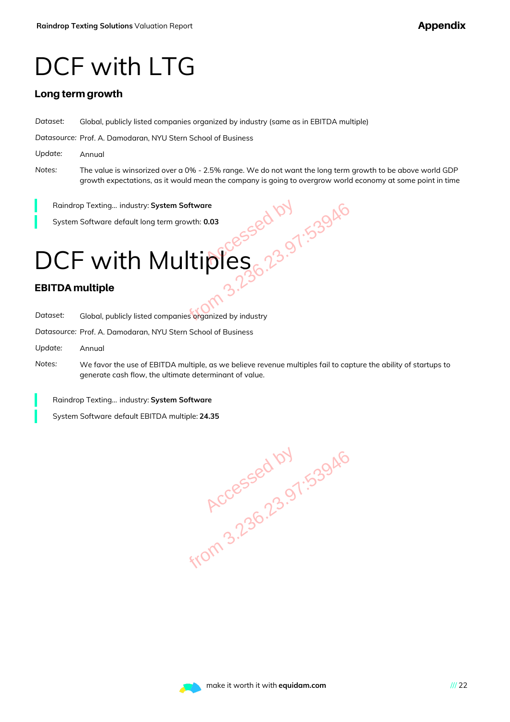### DCF with LTG

#### Long term growth

*Dataset:* Global, publicly listed companies organized by industry (same as in EBITDA multiple)

*Datasource:* Prof. A. Damodaran, NYU Stern School of Business

- *Update:* Annual
- *Notes:* The value is winsorized over a 0% 2.5% range. We do not want the long term growth to be above world GDP growth expectations, as it would mean the company is going to overgrow world economy at some point in time

Raindrop Texting... industry: **System Software**

System Software default long term growth: **0.03**

# DCF with Multiples Stem Software<br>
Lerm growth: 0.03<br>
Aultiples 3.23.97:53946<br>
Aultiples 3.236.23.97:53946<br>
Inpanies organized by industry<br>
W Stern School of Business

#### EBITDA multiple

*Dataset:* Global, publicly listed companies organized by industry

*Datasource:* Prof. A. Damodaran, NYU Stern School of Business

- *Update:* Annual
- *Notes:* We favor the use of EBITDA multiple, as we believe revenue multiples fail to capture the ability of startups to generate cash flow, the ultimate determinant of value.

Raindrop Texting... industry: **System Software**

System Software default EBITDA multiple: **24.35**

**Accessed by 1.53946**<br>Accessed by 1.53946